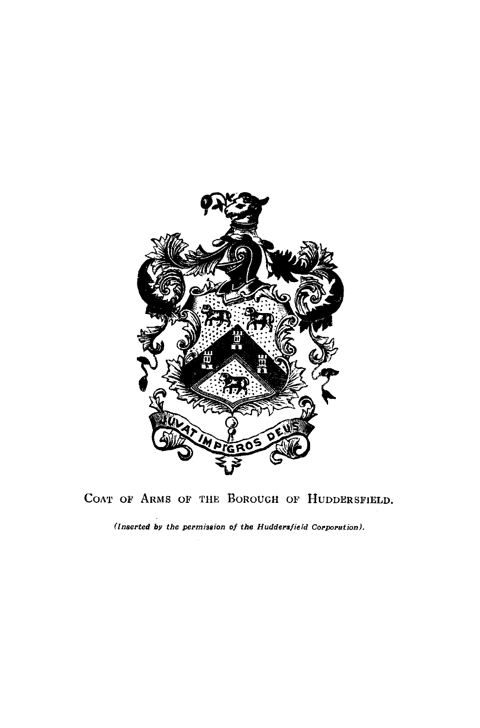

COAT OF ARMS OF THE BOROUGH OF HUDDERSFIELD.

*(Inserted by the permission of the Huddersfield Corporation).*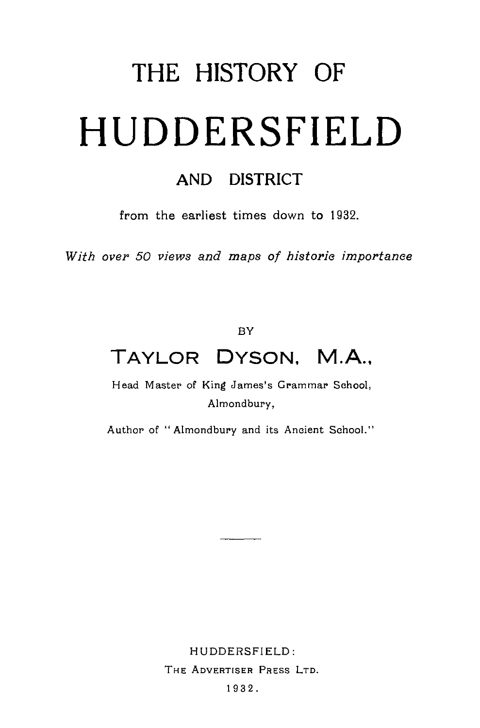## THE HISTORY OF **HUDDERSFIELD**

## AND DISTRICT

from the earliest times down to 1932.

*With over 50 views and maps of historic importance*

BY

## **TAYLOR DYSON, M.A.,**

Head Master of King James's Grammar School, Almondbury,

Author of "Almondbury and its Ancient School."

HUDDERSFIELD: THE ADVERTISER PRESS LTD.

1932.